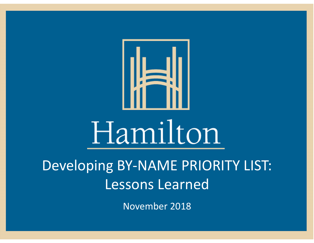

Developing BY‐NAME PRIORITY LIST: Lessons Learned

November 2018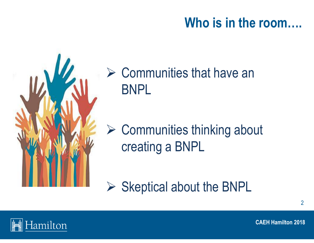## **Who is in the room….**



 $\triangleright$  Communities that have an BNPL

**► Communities thinking about** creating a BNPL

 $\triangleright$  Skeptical about the BNPL

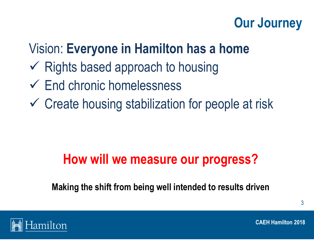## **Our Journey**

## Vision: **Everyone in Hamilton has a home**

- $\checkmark$  Rights based approach to housing
- End chronic homelessness
- Create housing stabilization for people at risk

## **How will we measure our progress?**

**Making the shift from being well intended to results driven**

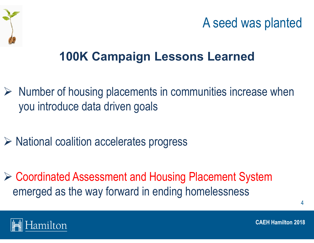

## **100K Campaign Lessons Learned**

- $\triangleright$  Number of housing placements in communities increase when you introduce data driven goals
- National coalition accelerates progress
- Coordinated Assessment and Housing Placement System emerged as the way forward in ending homelessness



**CAEH Hamilton 2018**

4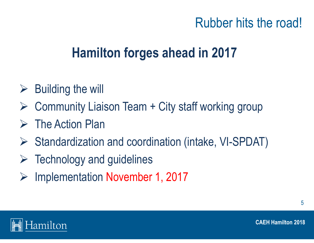## Rubber hits the road!

## **Hamilton forges ahead in 2017**

- $\triangleright$  Building the will
- $\blacktriangleright$ Community Liaison Team + City staff working group
- $\triangleright$  The Action Plan
- Standardization and coordination (intake, VI-SPDAT)
- $\triangleright$  Technology and guidelines
- $\blacktriangleright$ Implementation November 1, 2017



5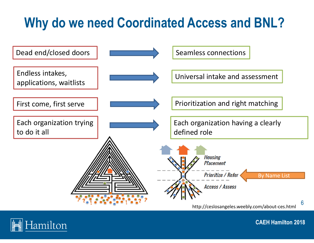# **Why do we need Coordinated Access and BNL?**



http://ceslosangeles.weebly.com/about‐ces.html

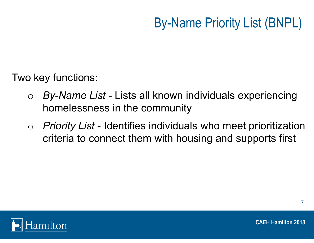# By-Name Priority List (BNPL)

Two key functions:

- o *By-Name List* - Lists all known individuals experiencing homelessness in the community
- o *Priority List* - Identifies individuals who meet prioritization criteria to connect them with housing and supports first



7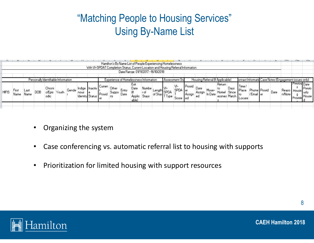#### "Matching People to Housing Services" Using By-Name List

| Hamilton's By Name List of People Experiencing Homelessness<br>With VI-SPDAT Completion Status, Current Location and Housing Referral Information<br>Date Range: 01/11/2017 - 16/10/2018 |               |              |     |                                                                 |       |       |      |                                            |                            |                              |               | nn.                             | DU.                                                            | nu |                                |                            |                  |                       |                                                      |                       |                               |                           |             |              |      |                                                                         |              |                   |
|------------------------------------------------------------------------------------------------------------------------------------------------------------------------------------------|---------------|--------------|-----|-----------------------------------------------------------------|-------|-------|------|--------------------------------------------|----------------------------|------------------------------|---------------|---------------------------------|----------------------------------------------------------------|----|--------------------------------|----------------------------|------------------|-----------------------|------------------------------------------------------|-----------------------|-------------------------------|---------------------------|-------------|--------------|------|-------------------------------------------------------------------------|--------------|-------------------|
| <b>HIFIS</b>                                                                                                                                                                             | First<br>Name | Las!<br>Name | DOB | Personally Identifiable Information<br>Chroni<br>o/Epis<br>odic | Youth | Gende | nous | Indige   Inactiv<br><b>Identity Status</b> | Curren<br>l Provid<br>l er | Other<br><b>Suppo</b><br>rts | Entry<br>Date | Exit<br>Date<br>Applic<br>able) | Experience of Homelessness Information<br>Numbe<br>٢o<br>Stays |    | Assessment Sta<br>SPD.<br>lype | VI-<br>SPDA er<br>Score ed | Provid<br>Assign | Date<br>Assign<br>eo. | Housing Referral (If Applicable)<br>Move-<br>In Date | Return<br>to<br>Homel | Days<br>Since<br>essnes Match | lime<br>l Place<br>Locate | /Email   er | Phone Provid | Date | ontact Informatid Case Notes (Engagement issues only<br>Heaso<br>n/Note | Previou Date | Previo<br>l House |

- •Organizing the system
- •Case conferencing vs. automatic referral list to housing with supports
- $\bullet$ • Prioritization for limited housing with support resources

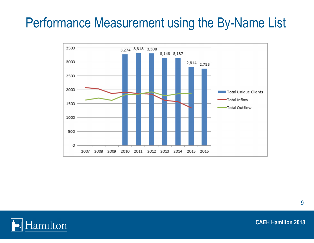## Performance Measurement using the By-Name List



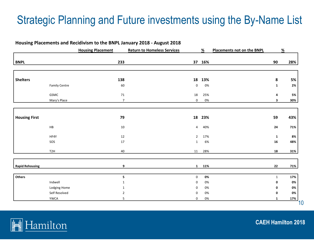#### Strategic Planning and Future investments using the By-Name List

#### **Housing Placements and Recidivism to the BNPL January 2018 ‐ August 2018**

|                        |                      | <b>Housing Placement</b> | <b>Return to Homeless Services</b> | %     | Placements not on the BNPL |              | $\%$ |
|------------------------|----------------------|--------------------------|------------------------------------|-------|----------------------------|--------------|------|
| <b>BNPL</b>            |                      | 233                      | 37                                 | 16%   |                            | 90           | 28%  |
|                        |                      |                          |                                    |       |                            |              |      |
| <b>Shelters</b>        |                      | 138                      | 18                                 | 13%   |                            | 8            | 5%   |
|                        | <b>Family Centre</b> | 60                       | $\pmb{0}$                          | 0%    |                            | $\mathbf{1}$ | 2%   |
|                        | GSMC                 | $71\,$                   | 18                                 | 25%   |                            | 4            | 5%   |
|                        | Mary's Place         | $\boldsymbol{7}$         | $\mathbf 0$                        | 0%    |                            | 3            | 30%  |
|                        |                      |                          |                                    |       |                            |              |      |
| <b>Housing First</b>   |                      | 79                       | 18                                 | 23%   |                            | 59           | 43%  |
|                        | ${\sf HB}$           | $10\,$                   | $\overline{4}$                     | 40%   |                            | 24           | 71%  |
|                        | HF4Y                 | $12\,$                   | $\overline{2}$                     | 17%   |                            | $\mathbf{1}$ | 8%   |
|                        | SOS                  | $17\,$                   | $\mathbf{1}$                       | 6%    |                            | ${\bf 16}$   | 48%  |
|                        | T <sub>2</sub> H     | 40                       | 11                                 | 28%   |                            | 18           | 31%  |
| <b>Rapid Rehousing</b> |                      | 9                        | $\mathbf{1}$                       | 11%   |                            | 22           | 71%  |
|                        |                      |                          |                                    |       |                            |              |      |
| Others                 |                      | 5                        | $\mathbf 0$                        | 0%    |                            | $\mathbf{1}$ | 17%  |
|                        | Indwell              | $\mathbf{1}$             | $\pmb{0}$                          | 0%    |                            | 0            | 0%   |
|                        | Lodging Home         | 1                        | 0                                  | 0%    |                            | 0            | 0%   |
|                        | Self Resolved        | $\overline{2}$           | $\pmb{0}$                          | 0%    |                            | 0            | 0%   |
|                        | <b>YWCA</b>          | 5                        | $\mathbf 0$                        | $0\%$ |                            | 1            | 17%  |